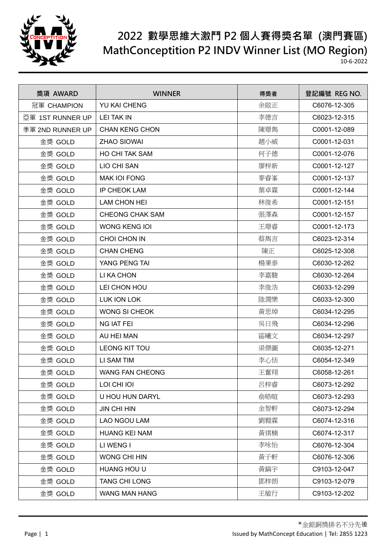

| 獎項 AWARD         | <b>WINNER</b>          | 得獎者 | 登記編號 REG NO. |
|------------------|------------------------|-----|--------------|
| 冠軍 CHAMPION      | YU KAI CHENG           | 余啟正 | C6076-12-305 |
| 亞軍 1ST RUNNER UP | <b>LEI TAK IN</b>      | 李德言 | C6023-12-315 |
| 季軍 2ND RUNNER UP | <b>CHAN KENG CHON</b>  | 陳璟雋 | C0001-12-089 |
| 金獎 GOLD          | <b>ZHAO SIOWAI</b>     | 趙小威 | C0001-12-031 |
| 金獎 GOLD          | <b>HO CHI TAK SAM</b>  | 何子德 | C0001-12-076 |
| 金獎 GOLD          | LIO CHI SAN            | 廖梓新 | C0001-12-127 |
| 金獎 GOLD          | <b>MAK IOI FONG</b>    | 麥睿峯 | C0001-12-137 |
| 金獎 GOLD          | <b>IP CHEOK LAM</b>    | 葉卓霖 | C0001-12-144 |
| 金獎 GOLD          | <b>LAM CHON HEI</b>    | 林俊希 | C0001-12-151 |
| 金獎 GOLD          | <b>CHEONG CHAK SAM</b> | 張澤森 | C0001-12-157 |
| 金獎 GOLD          | <b>WONG KENG IOI</b>   | 王璟睿 | C0001-12-173 |
| 金獎 GOLD          | CHOI CHON IN           | 蔡雋言 | C6023-12-314 |
| 金獎 GOLD          | <b>CHAN CHENG</b>      | 陳正  | C6025-12-308 |
| 金獎 GOLD          | YANG PENG TAI          | 楊秉泰 | C6030-12-262 |
| 金獎 GOLD          | LI KA CHON             | 李嘉駿 | C6030-12-264 |
| 金獎 GOLD          | LEI CHON HOU           | 李俊浩 | C6033-12-299 |
| 金獎 GOLD          | LUK ION LOK            | 陸潤樂 | C6033-12-300 |
| 金獎 GOLD          | <b>WONG SI CHEOK</b>   | 黃思焯 | C6034-12-295 |
| 金獎 GOLD          | <b>NG IAT FEI</b>      | 吳日飛 | C6034-12-296 |
| 金獎 GOLD          | AU HEI MAN             | 區曦文 | C6034-12-297 |
| 金獎 GOLD          | LEONG KIT TOU          | 梁傑圖 | C6035-12-271 |
| 金獎 GOLD          | LI SAM TIM             | 李心恬 | C6054-12-349 |
| 金獎 GOLD          | <b>WANG FAN CHEONG</b> | 王奮翔 | C6058-12-261 |
| 金獎 GOLD          | LOI CHI IOI            | 呂梓睿 | C6073-12-292 |
| 金獎 GOLD          | U HOU HUN DARYL        | 俞皓暄 | C6073-12-293 |
| 金獎 GOLD          | <b>JIN CHI HIN</b>     | 金智軒 | C6073-12-294 |
| 金獎 GOLD          | LAO NGOU LAM           | 劉翱霖 | C6074-12-316 |
| 金獎 GOLD          | <b>HUANG KEI NAM</b>   | 黃祺楠 | C6074-12-317 |
| 金獎 GOLD          | LI WENG I              | 李咏怡 | C6076-12-304 |
| 金獎 GOLD          | <b>WONG CHI HIN</b>    | 黃子軒 | C6076-12-306 |
| 金獎 GOLD          | HUANG HOU U            | 黃鎬宇 | C9103-12-047 |
| 金獎 GOLD          | <b>TANG CHI LONG</b>   | 鄧梓朗 | C9103-12-079 |
| 金獎 GOLD          | WANG MAN HANG          | 王敏行 | C9103-12-202 |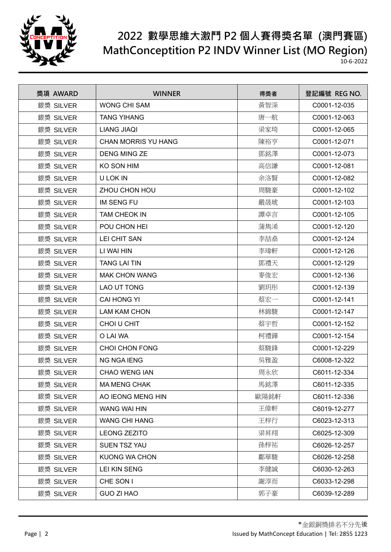

| 獎項 AWARD  | <b>WINNER</b>              | 得獎者  | 登記編號 REG NO. |
|-----------|----------------------------|------|--------------|
| 銀獎 SILVER | <b>WONG CHI SAM</b>        | 黃智深  | C0001-12-035 |
| 銀獎 SILVER | <b>TANG YIHANG</b>         | 唐一航  | C0001-12-063 |
| 銀獎 SILVER | <b>LIANG JIAQI</b>         | 梁家琦  | C0001-12-065 |
| 銀獎 SILVER | <b>CHAN MORRIS YU HANG</b> | 陳裕亨  | C0001-12-071 |
| 銀獎 SILVER | <b>DENG MING ZE</b>        | 鄧銘澤  | C0001-12-073 |
| 銀獎 SILVER | KO SON HIM                 | 高信謙  | C0001-12-081 |
| 銀獎 SILVER | U LOK IN                   | 余洛賢  | C0001-12-082 |
| 銀獎 SILVER | ZHOU CHON HOU              | 周駿豪  | C0001-12-102 |
| 銀獎 SILVER | <b>IM SENG FU</b>          | 嚴晟琥  | C0001-12-103 |
| 銀獎 SILVER | <b>TAM CHEOK IN</b>        | 譚卓言  | C0001-12-105 |
| 銀獎 SILVER | POU CHON HEI               | 蒲雋浠  | C0001-12-120 |
| 銀獎 SILVER | <b>LEI CHIT SAN</b>        | 李喆燊  | C0001-12-124 |
| 銀獎 SILVER | LI WAI HIN                 | 李瑋軒  | C0001-12-126 |
| 銀獎 SILVER | <b>TANG LAI TIN</b>        | 鄧禮天  | C0001-12-129 |
| 銀獎 SILVER | <b>MAK CHON WANG</b>       | 麥俊宏  | C0001-12-136 |
| 銀獎 SILVER | LAO UT TONG                | 劉玥彤  | C0001-12-139 |
| 銀獎 SILVER | <b>CAI HONG YI</b>         | 蔡宏一  | C0001-12-141 |
| 銀獎 SILVER | <b>LAM KAM CHON</b>        | 林錦駿  | C0001-12-147 |
| 銀獎 SILVER | CHOI U CHIT                | 蔡宇哲  | C0001-12-152 |
| 銀獎 SILVER | O LAI WA                   | 柯禮鏵  | C0001-12-154 |
| 銀獎 SILVER | <b>CHOI CHON FONG</b>      | 蔡駿鋒  | C0001-12-229 |
| 銀獎 SILVER | <b>NG NGA IENG</b>         | 吳雅盈  | C6008-12-322 |
| 銀獎 SILVER | <b>CHAO WENG IAN</b>       | 周永欣  | C6011-12-334 |
| 銀獎 SILVER | <b>MA MENG CHAK</b>        | 馬銘澤  | C6011-12-335 |
| 銀獎 SILVER | AO IEONG MENG HIN          | 歐陽銘軒 | C6011-12-336 |
| 銀獎 SILVER | WANG WAI HIN               | 王偉軒  | C6019-12-277 |
| 銀獎 SILVER | <b>WANG CHI HANG</b>       | 王梓行  | C6023-12-313 |
| 銀獎 SILVER | <b>LEONG ZEZITO</b>        | 梁昇翔  | C6025-12-309 |
| 銀獎 SILVER | <b>SUEN TSZ YAU</b>        | 孫梓祐  | C6026-12-257 |
| 銀獎 SILVER | <b>KUONG WA CHON</b>       | 鄺華駿  | C6026-12-258 |
| 銀獎 SILVER | <b>LEI KIN SENG</b>        | 李健誠  | C6030-12-263 |
| 銀獎 SILVER | CHE SON I                  | 謝淳而  | C6033-12-298 |
| 銀獎 SILVER | <b>GUO ZI HAO</b>          | 郭子豪  | C6039-12-289 |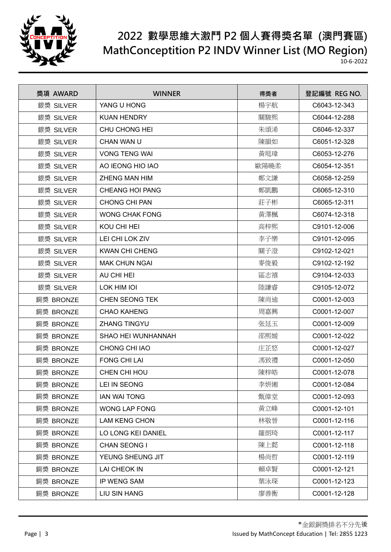

| 獎項 AWARD  | <b>WINNER</b>          | 得獎者  | 登記編號 REG NO. |
|-----------|------------------------|------|--------------|
| 銀獎 SILVER | YANG U HONG            | 楊宇航  | C6043-12-343 |
| 銀獎 SILVER | <b>KUAN HENDRY</b>     | 關駿熙  | C6044-12-288 |
| 銀獎 SILVER | <b>CHU CHONG HEI</b>   | 朱頌浠  | C6046-12-337 |
| 銀獎 SILVER | CHAN WAN U             | 陳韻如  | C6051-12-328 |
| 銀獎 SILVER | <b>VONG TENG WAI</b>   | 黃珽瑋  | C6053-12-276 |
| 銀獎 SILVER | AO IEONG HIO IAO       | 歐陽曉柔 | C6054-12-351 |
| 銀獎 SILVER | <b>ZHENG MAN HIM</b>   | 鄭文謙  | C6058-12-259 |
| 銀獎 SILVER | <b>CHEANG HOI PANG</b> | 鄭凱鵬  | C6065-12-310 |
| 銀獎 SILVER | <b>CHONG CHI PAN</b>   | 莊子彬  | C6065-12-311 |
| 銀獎 SILVER | <b>WONG CHAK FONG</b>  | 黃澤楓  | C6074-12-318 |
| 銀獎 SILVER | KOU CHI HEI            | 高梓熙  | C9101-12-006 |
| 銀獎 SILVER | LEI CHI LOK ZIV        | 李子樂  | C9101-12-095 |
| 銀獎 SILVER | <b>KWAN CHI CHENG</b>  | 關子澄  | C9102-12-021 |
| 銀獎 SILVER | <b>MAK CHUN NGAI</b>   | 麥俊毅  | C9102-12-192 |
| 銀獎 SILVER | AU CHI HEI             | 區志禧  | C9104-12-033 |
| 銀獎 SILVER | LOK HIM IOI            | 陸謙睿  | C9105-12-072 |
| 銅獎 BRONZE | <b>CHEN SEONG TEK</b>  | 陳尚迪  | C0001-12-003 |
| 銅獎 BRONZE | <b>CHAO KAHENG</b>     | 周嘉興  | C0001-12-007 |
| 銅獎 BRONZE | <b>ZHANG TINGYU</b>    | 张廷玉  | C0001-12-009 |
| 銅獎 BRONZE | SHAO HEI WUNHANNAH     | 邵熙媛  | C0001-12-022 |
| 銅獎 BRONZE | CHONG CHI IAO          | 庄芷悠  | C0001-12-027 |
| 銅獎 BRONZE | <b>FONG CHI LAI</b>    | 馮致禮  | C0001-12-050 |
| 銅獎 BRONZE | CHEN CHI HOU           | 陳梓皓  | C0001-12-078 |
| 銅獎 BRONZE | LEI IN SEONG           | 李妍緗  | C0001-12-084 |
| 銅獎 BRONZE | <b>IAN WAI TONG</b>    | 甄偉堂  | C0001-12-093 |
| 銅獎 BRONZE | <b>WONG LAP FONG</b>   | 黃立峰  | C0001-12-101 |
| 銅獎 BRONZE | <b>LAM KENG CHON</b>   | 林敬晉  | C0001-12-116 |
| 銅獎 BRONZE | LO LONG KEI DANIEL     | 羅朗琦  | C0001-12-117 |
| 銅獎 BRONZE | CHAN SEONG I           | 陳上懿  | C0001-12-118 |
| 銅獎 BRONZE | YEUNG SHEUNG JIT       | 楊尚哲  | C0001-12-119 |
| 銅獎 BRONZE | LAI CHEOK IN           | 賴卓賢  | C0001-12-121 |
| 銅獎 BRONZE | IP WENG SAM            | 葉泳琛  | C0001-12-123 |
| 銅獎 BRONZE | <b>LIU SIN HANG</b>    | 廖善衡  | C0001-12-128 |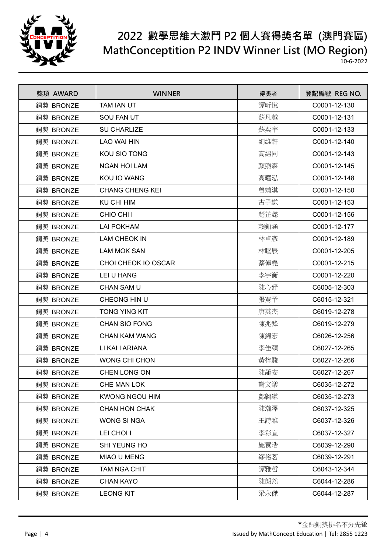

| 獎項 AWARD  | <b>WINNER</b>          | 得獎者 | 登記編號 REG NO. |
|-----------|------------------------|-----|--------------|
| 銅獎 BRONZE | TAM IAN UT             | 譚昕悅 | C0001-12-130 |
| 銅獎 BRONZE | <b>SOU FAN UT</b>      | 蘇凡越 | C0001-12-131 |
| 銅獎 BRONZE | <b>SU CHARLIZE</b>     | 蘇奕宇 | C0001-12-133 |
| 銅獎 BRONZE | <b>LAO WAI HIN</b>     | 劉維軒 | C0001-12-140 |
| 銅獎 BRONZE | KOU SIO TONG           | 高紹同 | C0001-12-143 |
| 銅獎 BRONZE | <b>NGAN HOI LAM</b>    | 顏煦霖 | C0001-12-145 |
| 銅獎 BRONZE | KOU IO WANG            | 高曜泓 | C0001-12-148 |
| 銅獎 BRONZE | <b>CHANG CHENG KEI</b> | 曾靖淇 | C0001-12-150 |
| 銅獎 BRONZE | <b>KU CHI HIM</b>      | 古子謙 | C0001-12-153 |
| 銅獎 BRONZE | CHIO CHI I             | 趙芷懿 | C0001-12-156 |
| 銅獎 BRONZE | <b>LAI POKHAM</b>      | 賴鉑涵 | C0001-12-177 |
| 銅獎 BRONZE | <b>LAM CHEOK IN</b>    | 林卓彥 | C0001-12-189 |
| 銅獎 BRONZE | <b>LAM MOK SAN</b>     | 林睦辰 | C0001-12-205 |
| 銅獎 BRONZE | CHOI CHEOK IO OSCAR    | 蔡倬堯 | C0001-12-215 |
| 銅獎 BRONZE | LEI U HANG             | 李宇衡 | C0001-12-220 |
| 銅獎 BRONZE | <b>CHAN SAM U</b>      | 陳心妤 | C6005-12-303 |
| 銅獎 BRONZE | CHEONG HIN U           | 張騫予 | C6015-12-321 |
| 銅獎 BRONZE | <b>TONG YING KIT</b>   | 唐英杰 | C6019-12-278 |
| 銅獎 BRONZE | <b>CHAN SIO FONG</b>   | 陳兆鋒 | C6019-12-279 |
| 銅獎 BRONZE | <b>CHAN KAM WANG</b>   | 陳錦宏 | C6026-12-256 |
| 銅獎 BRONZE | LI KAI I ARIANA        | 李佳頤 | C6027-12-265 |
| 銅獎 BRONZE | <b>WONG CHI CHON</b>   | 黃梓駿 | C6027-12-266 |
| 銅獎 BRONZE | <b>CHEN LONG ON</b>    | 陳蘢安 | C6027-12-267 |
| 銅獎 BRONZE | CHE MAN LOK            | 謝文樂 | C6035-12-272 |
| 銅獎 BRONZE | <b>KWONG NGOU HIM</b>  | 鄺翱謙 | C6035-12-273 |
| 銅獎 BRONZE | <b>CHAN HON CHAK</b>   | 陳瀚澤 | C6037-12-325 |
| 銅獎 BRONZE | <b>WONG SINGA</b>      | 王詩雅 | C6037-12-326 |
| 銅獎 BRONZE | LEI CHOI I             | 李彩宜 | C6037-12-327 |
| 銅獎 BRONZE | SHI YEUNG HO           | 施養浩 | C6039-12-290 |
| 銅獎 BRONZE | MIAO U MENG            | 繆裕茗 | C6039-12-291 |
| 銅獎 BRONZE | <b>TAM NGA CHIT</b>    | 譚雅哲 | C6043-12-344 |
| 銅獎 BRONZE | <b>CHAN KAYO</b>       | 陳朗然 | C6044-12-286 |
| 銅獎 BRONZE | <b>LEONG KIT</b>       | 梁永傑 | C6044-12-287 |